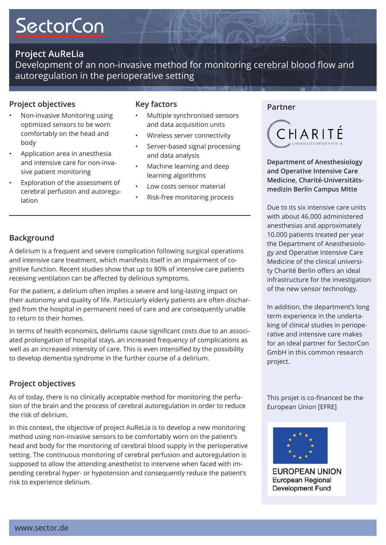# **SectorCon**

# **Project AuReLia**

Development of an non-invasive method for monitoring cerebral blood flow and autoregulation in the perioperative setting

# **Project objectives**

- Non-invasive Monitoring using optimized sensors to be worn comfortably on the head and body •
- Application area in anesthesia and intensive care for non-invasive patient monitoring •
- Exploration of the assessment of cerebral perfusion and autoregulation •

### **Key factors**

- Multiple synchronised sensors and data acquisition units •
- Wireless server connectivity •
- Server-based signal processing and data analysis •
- Machine learning and deep learning algorithms •
- Low costs sensor material •
- Risk-free monitoring process •

#### **Partner**



**Department of Anesthesiology and Operative Intensive Care Medicine, Charité-Universitätsmedizin Berlin Campus Mitte**

Due to its six intensive care units with about 46.000 administered anesthesias and approximately 10.000 patients treated per year the Department of Anesthesiology and Operative Intensive Care Medicine of the clinical university Charité Berlin offers an ideal infrastructure for the investigation of the new sensor technology.

In addition, the department's long term experience in the undertaking of clinical studies in perioperative and intensive care makes for an ideal partner for SectorCon GmbH in this common research project.

This projet is co-financed be the European Union [EFRE]



**EUROPEAN UNION European Regional Development Fund** 

### **Background**

A delirium is a frequent and severe complication following surgical operations and intensive care treatment, which manifests itself in an impairment of cognitive function. Recent studies show that up to 80% of intensive care patients receiving ventilation can be afected by delirious symptoms.

For the patient, a delirium often implies a severe and long-lasting impact on their autonomy and quality of life. Particularly elderly patients are often discharged from the hospital in permanent need of care and are consequently unable to return to their homes.

In terms of health economics, deliriums cause significant costs due to an associated prolongation of hospital stays, an increased frequency of complications as well as an increased intensity of care. This is even intensified by the possibility to develop dementia syndrome in the further course of a delirium.

## **Project objectives**

As of today, there is no clinically acceptable method for monitoring the perfusion of the brain and the process of cerebral autoregulation in order to reduce the risk of delirium.

In this context, the objective of project AuReLia is to develop a new monitoring method using non-invasive sensors to be comfortably worn on the patient's head and body for the monitoring of cerebral blood supply in the perioperative setting. The continuous monitoring of cerebral perfusion and autoregulation is supposed to allow the attending anesthetist to intervene when faced with impending cerebral hyper- or hypotension and consequently reduce the patient's risk to experience delirium.